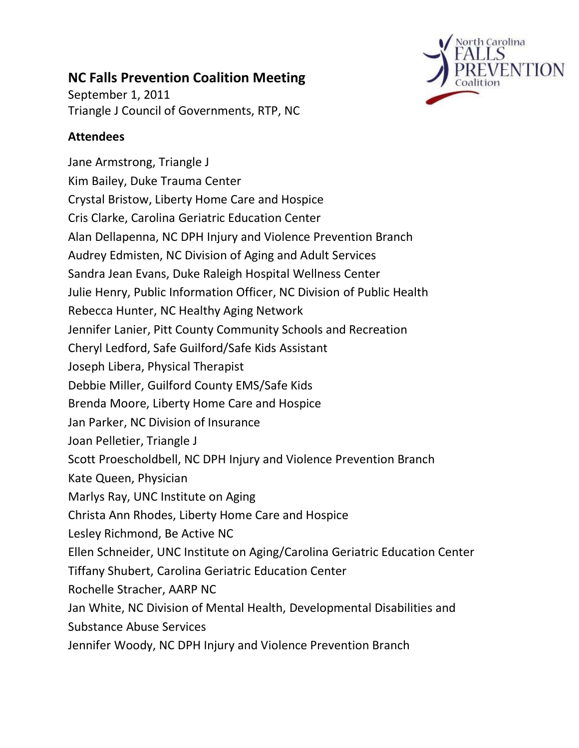

# **NC Falls Prevention Coalition Meeting**

September 1, 2011 Triangle J Council of Governments, RTP, NC

# **Attendees**

Jane Armstrong, Triangle J Kim Bailey, Duke Trauma Center Crystal Bristow, Liberty Home Care and Hospice Cris Clarke, Carolina Geriatric Education Center Alan Dellapenna, NC DPH Injury and Violence Prevention Branch Audrey Edmisten, NC Division of Aging and Adult Services Sandra Jean Evans, Duke Raleigh Hospital Wellness Center Julie Henry, Public Information Officer, NC Division of Public Health Rebecca Hunter, NC Healthy Aging Network Jennifer Lanier, Pitt County Community Schools and Recreation Cheryl Ledford, Safe Guilford/Safe Kids Assistant Joseph Libera, Physical Therapist Debbie Miller, Guilford County EMS/Safe Kids Brenda Moore, Liberty Home Care and Hospice Jan Parker, NC Division of Insurance Joan Pelletier, Triangle J Scott Proescholdbell, NC DPH Injury and Violence Prevention Branch Kate Queen, Physician Marlys Ray, UNC Institute on Aging Christa Ann Rhodes, Liberty Home Care and Hospice Lesley Richmond, Be Active NC Ellen Schneider, UNC Institute on Aging/Carolina Geriatric Education Center Tiffany Shubert, Carolina Geriatric Education Center Rochelle Stracher, AARP NC Jan White, NC Division of Mental Health, Developmental Disabilities and Substance Abuse Services Jennifer Woody, NC DPH Injury and Violence Prevention Branch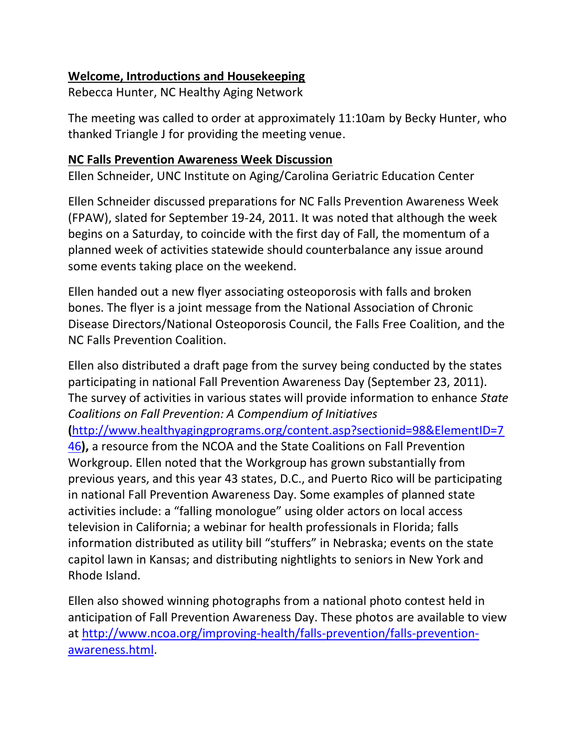## **Welcome, Introductions and Housekeeping**

Rebecca Hunter, NC Healthy Aging Network

The meeting was called to order at approximately 11:10am by Becky Hunter, who thanked Triangle J for providing the meeting venue.

## **NC Falls Prevention Awareness Week Discussion**

Ellen Schneider, UNC Institute on Aging/Carolina Geriatric Education Center

Ellen Schneider discussed preparations for NC Falls Prevention Awareness Week (FPAW), slated for September 19-24, 2011. It was noted that although the week begins on a Saturday, to coincide with the first day of Fall, the momentum of a planned week of activities statewide should counterbalance any issue around some events taking place on the weekend.

Ellen handed out a new flyer associating osteoporosis with falls and broken bones. The flyer is a joint message from the National Association of Chronic Disease Directors/National Osteoporosis Council, the Falls Free Coalition, and the NC Falls Prevention Coalition.

Ellen also distributed a draft page from the survey being conducted by the states participating in national Fall Prevention Awareness Day (September 23, 2011). The survey of activities in various states will provide information to enhance *State Coalitions on Fall Prevention: A Compendium of Initiatives* **(**[http://www.healthyagingprograms.org/content.asp?sectionid=98&ElementID=7](http://www.healthyagingprograms.org/content.asp?sectionid=98&ElementID=746) [46](http://www.healthyagingprograms.org/content.asp?sectionid=98&ElementID=746)**),** a resource from the NCOA and the State Coalitions on Fall Prevention Workgroup. Ellen noted that the Workgroup has grown substantially from previous years, and this year 43 states, D.C., and Puerto Rico will be participating in national Fall Prevention Awareness Day. Some examples of planned state activities include: a "falling monologue" using older actors on local access television in California; a webinar for health professionals in Florida; falls information distributed as utility bill "stuffers" in Nebraska; events on the state capitol lawn in Kansas; and distributing nightlights to seniors in New York and Rhode Island.

Ellen also showed winning photographs from a national photo contest held in anticipation of Fall Prevention Awareness Day. These photos are available to view at [http://www.ncoa.org/improving-health/falls-prevention/falls-prevention](http://www.ncoa.org/improving-health/falls-prevention/falls-prevention-awareness.html)[awareness.html.](http://www.ncoa.org/improving-health/falls-prevention/falls-prevention-awareness.html)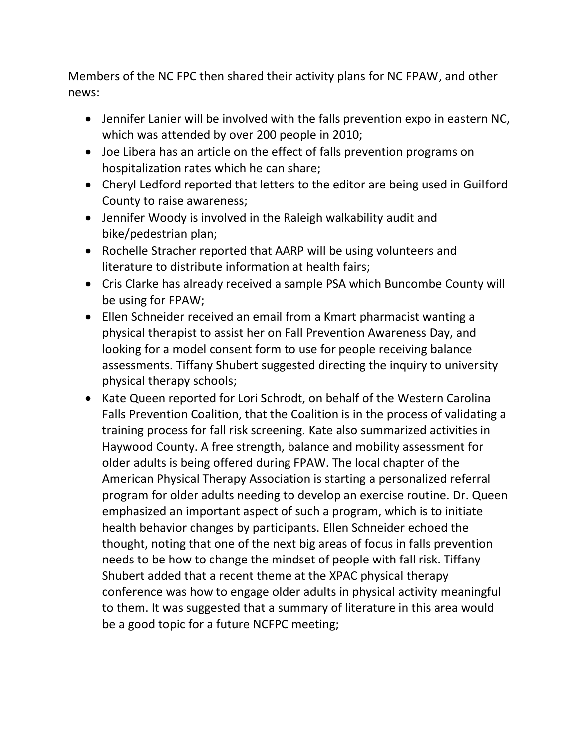Members of the NC FPC then shared their activity plans for NC FPAW, and other news:

- Jennifer Lanier will be involved with the falls prevention expo in eastern NC, which was attended by over 200 people in 2010;
- Joe Libera has an article on the effect of falls prevention programs on hospitalization rates which he can share;
- Cheryl Ledford reported that letters to the editor are being used in Guilford County to raise awareness;
- Jennifer Woody is involved in the Raleigh walkability audit and bike/pedestrian plan;
- Rochelle Stracher reported that AARP will be using volunteers and literature to distribute information at health fairs;
- Cris Clarke has already received a sample PSA which Buncombe County will be using for FPAW;
- Ellen Schneider received an email from a Kmart pharmacist wanting a physical therapist to assist her on Fall Prevention Awareness Day, and looking for a model consent form to use for people receiving balance assessments. Tiffany Shubert suggested directing the inquiry to university physical therapy schools;
- Kate Queen reported for Lori Schrodt, on behalf of the Western Carolina Falls Prevention Coalition, that the Coalition is in the process of validating a training process for fall risk screening. Kate also summarized activities in Haywood County. A free strength, balance and mobility assessment for older adults is being offered during FPAW. The local chapter of the American Physical Therapy Association is starting a personalized referral program for older adults needing to develop an exercise routine. Dr. Queen emphasized an important aspect of such a program, which is to initiate health behavior changes by participants. Ellen Schneider echoed the thought, noting that one of the next big areas of focus in falls prevention needs to be how to change the mindset of people with fall risk. Tiffany Shubert added that a recent theme at the XPAC physical therapy conference was how to engage older adults in physical activity meaningful to them. It was suggested that a summary of literature in this area would be a good topic for a future NCFPC meeting;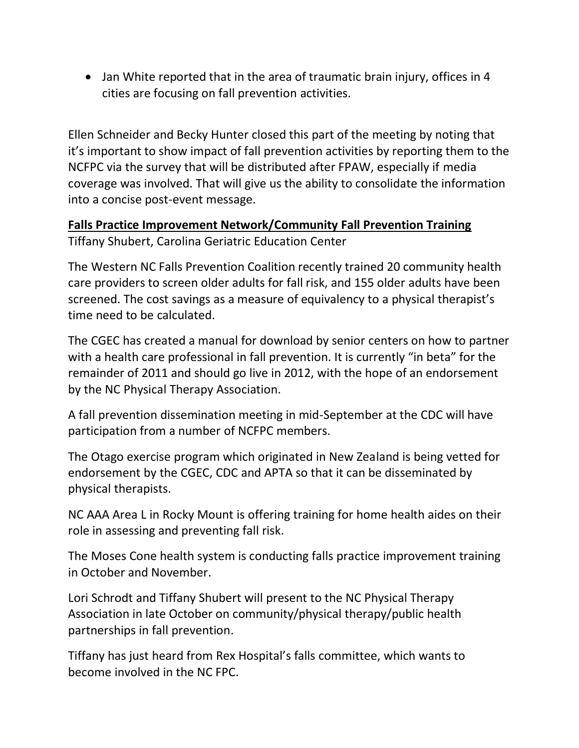• Jan White reported that in the area of traumatic brain injury, offices in 4 cities are focusing on fall prevention activities.

Ellen Schneider and Becky Hunter closed this part of the meeting by noting that it's important to show impact of fall prevention activities by reporting them to the NCFPC via the survey that will be distributed after FPAW, especially if media coverage was involved. That will give us the ability to consolidate the information into a concise post-event message.

**Falls Practice Improvement Network/Community Fall Prevention Training** Tiffany Shubert, Carolina Geriatric Education Center

The Western NC Falls Prevention Coalition recently trained 20 community health care providers to screen older adults for fall risk, and 155 older adults have been screened. The cost savings as a measure of equivalency to a physical therapist's time need to be calculated.

The CGEC has created a manual for download by senior centers on how to partner with a health care professional in fall prevention. It is currently "in beta" for the remainder of 2011 and should go live in 2012, with the hope of an endorsement by the NC Physical Therapy Association.

A fall prevention dissemination meeting in mid-September at the CDC will have participation from a number of NCFPC members.

The Otago exercise program which originated in New Zealand is being vetted for endorsement by the CGEC, CDC and APTA so that it can be disseminated by physical therapists.

NC AAA Area L in Rocky Mount is offering training for home health aides on their role in assessing and preventing fall risk.

The Moses Cone health system is conducting falls practice improvement training in October and November.

Lori Schrodt and Tiffany Shubert will present to the NC Physical Therapy Association in late October on community/physical therapy/public health partnerships in fall prevention.

Tiffany has just heard from Rex Hospital's falls committee, which wants to become involved in the NC FPC.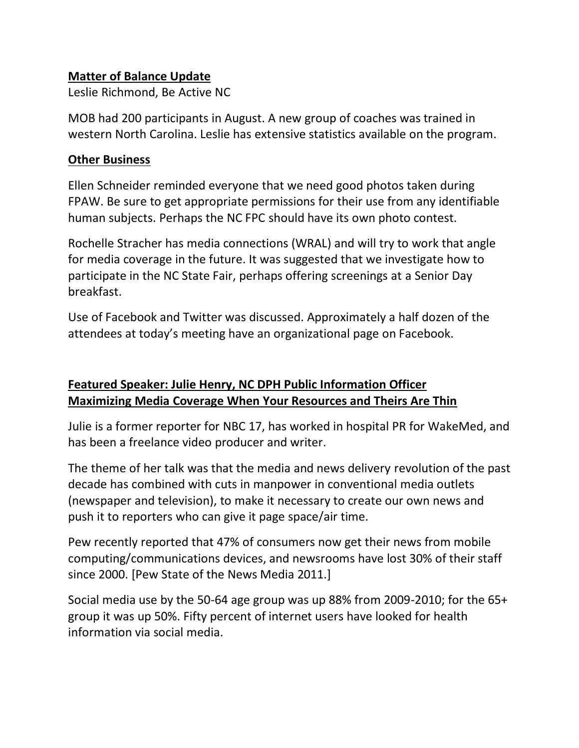## **Matter of Balance Update**

Leslie Richmond, Be Active NC

MOB had 200 participants in August. A new group of coaches was trained in western North Carolina. Leslie has extensive statistics available on the program.

#### **Other Business**

Ellen Schneider reminded everyone that we need good photos taken during FPAW. Be sure to get appropriate permissions for their use from any identifiable human subjects. Perhaps the NC FPC should have its own photo contest.

Rochelle Stracher has media connections (WRAL) and will try to work that angle for media coverage in the future. It was suggested that we investigate how to participate in the NC State Fair, perhaps offering screenings at a Senior Day breakfast.

Use of Facebook and Twitter was discussed. Approximately a half dozen of the attendees at today's meeting have an organizational page on Facebook.

# **Featured Speaker: Julie Henry, NC DPH Public Information Officer Maximizing Media Coverage When Your Resources and Theirs Are Thin**

Julie is a former reporter for NBC 17, has worked in hospital PR for WakeMed, and has been a freelance video producer and writer.

The theme of her talk was that the media and news delivery revolution of the past decade has combined with cuts in manpower in conventional media outlets (newspaper and television), to make it necessary to create our own news and push it to reporters who can give it page space/air time.

Pew recently reported that 47% of consumers now get their news from mobile computing/communications devices, and newsrooms have lost 30% of their staff since 2000. [Pew State of the News Media 2011.]

Social media use by the 50-64 age group was up 88% from 2009-2010; for the 65+ group it was up 50%. Fifty percent of internet users have looked for health information via social media.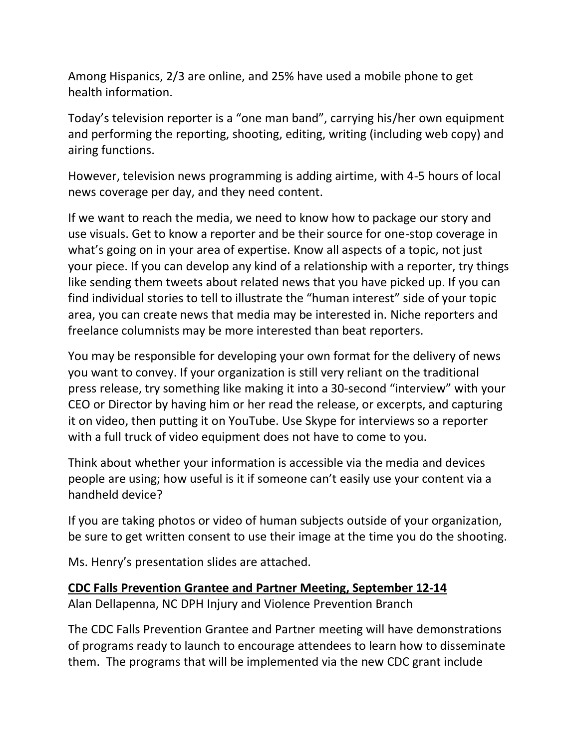Among Hispanics, 2/3 are online, and 25% have used a mobile phone to get health information.

Today's television reporter is a "one man band", carrying his/her own equipment and performing the reporting, shooting, editing, writing (including web copy) and airing functions.

However, television news programming is adding airtime, with 4-5 hours of local news coverage per day, and they need content.

If we want to reach the media, we need to know how to package our story and use visuals. Get to know a reporter and be their source for one-stop coverage in what's going on in your area of expertise. Know all aspects of a topic, not just your piece. If you can develop any kind of a relationship with a reporter, try things like sending them tweets about related news that you have picked up. If you can find individual stories to tell to illustrate the "human interest" side of your topic area, you can create news that media may be interested in. Niche reporters and freelance columnists may be more interested than beat reporters.

You may be responsible for developing your own format for the delivery of news you want to convey. If your organization is still very reliant on the traditional press release, try something like making it into a 30-second "interview" with your CEO or Director by having him or her read the release, or excerpts, and capturing it on video, then putting it on YouTube. Use Skype for interviews so a reporter with a full truck of video equipment does not have to come to you.

Think about whether your information is accessible via the media and devices people are using; how useful is it if someone can't easily use your content via a handheld device?

If you are taking photos or video of human subjects outside of your organization, be sure to get written consent to use their image at the time you do the shooting.

Ms. Henry's presentation slides are attached.

#### **CDC Falls Prevention Grantee and Partner Meeting, September 12-14**

Alan Dellapenna, NC DPH Injury and Violence Prevention Branch

The CDC Falls Prevention Grantee and Partner meeting will have demonstrations of programs ready to launch to encourage attendees to learn how to disseminate them. The programs that will be implemented via the new CDC grant include